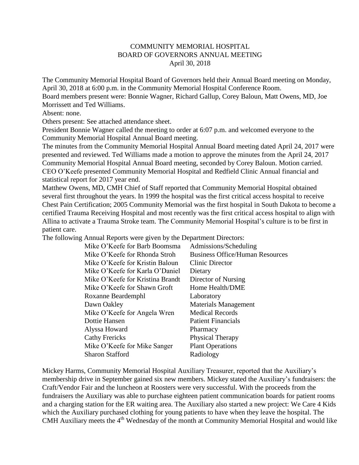## COMMUNITY MEMORIAL HOSPITAL BOARD OF GOVERNORS ANNUAL MEETING April 30, 2018

The Community Memorial Hospital Board of Governors held their Annual Board meeting on Monday, April 30, 2018 at 6:00 p.m. in the Community Memorial Hospital Conference Room.

Board members present were: Bonnie Wagner, Richard Gallup, Corey Baloun, Matt Owens, MD, Joe Morrissett and Ted Williams.

Absent: none.

Others present: See attached attendance sheet.

President Bonnie Wagner called the meeting to order at 6:07 p.m. and welcomed everyone to the Community Memorial Hospital Annual Board meeting.

The minutes from the Community Memorial Hospital Annual Board meeting dated April 24, 2017 were presented and reviewed. Ted Williams made a motion to approve the minutes from the April 24, 2017 Community Memorial Hospital Annual Board meeting, seconded by Corey Baloun. Motion carried. CEO O'Keefe presented Community Memorial Hospital and Redfield Clinic Annual financial and statistical report for 2017 year end.

Matthew Owens, MD, CMH Chief of Staff reported that Community Memorial Hospital obtained several first throughout the years. In 1999 the hospital was the first critical access hospital to receive Chest Pain Certification; 2005 Community Memorial was the first hospital in South Dakota to become a certified Trauma Receiving Hospital and most recently was the first critical access hospital to align with Allina to activate a Trauma Stroke team. The Community Memorial Hospital's culture is to be first in patient care.

The following Annual Reports were given by the Department Directors:

| Mike O'Keefe for Barb Boomsma<br>Mike O'Keefe for Rhonda Stroh | Admissions/Scheduling<br><b>Business Office/Human Resources</b> |
|----------------------------------------------------------------|-----------------------------------------------------------------|
| Mike O'Keefe for Kristin Baloun                                | Clinic Director                                                 |
| Mike O'Keefe for Karla O'Daniel                                | Dietary                                                         |
| Mike O'Keefe for Kristina Brandt                               | Director of Nursing                                             |
| Mike O'Keefe for Shawn Groft                                   | Home Health/DME                                                 |
| Roxanne Beardemphl                                             | Laboratory                                                      |
| Dawn Oakley                                                    | <b>Materials Management</b>                                     |
| Mike O'Keefe for Angela Wren                                   | <b>Medical Records</b>                                          |
| Dottie Hansen                                                  | <b>Patient Financials</b>                                       |
| Alyssa Howard                                                  | Pharmacy                                                        |
| <b>Cathy Frericks</b>                                          | Physical Therapy                                                |
| Mike O'Keefe for Mike Sanger                                   | <b>Plant Operations</b>                                         |
| <b>Sharon Stafford</b>                                         | Radiology                                                       |
|                                                                |                                                                 |

Mickey Harms, Community Memorial Hospital Auxiliary Treasurer, reported that the Auxiliary's membership drive in September gained six new members. Mickey stated the Auxiliary's fundraisers: the Craft/Vendor Fair and the luncheon at Roosters were very successful. With the proceeds from the fundraisers the Auxiliary was able to purchase eighteen patient communication boards for patient rooms and a charging station for the ER waiting area. The Auxiliary also started a new project: We Care 4 Kids which the Auxiliary purchased clothing for young patients to have when they leave the hospital. The CMH Auxiliary meets the 4<sup>th</sup> Wednesday of the month at Community Memorial Hospital and would like